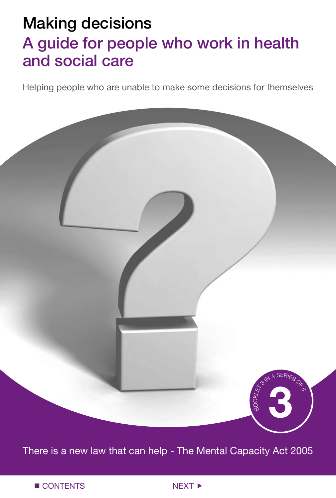# Making decisions A guide for people who work in health and social care

Helping people who are unable to make some decisions for themselves

BO OKATA A SERIES OF 5 **3**

There is a new law that can help - The Mental Capacity Act 2005

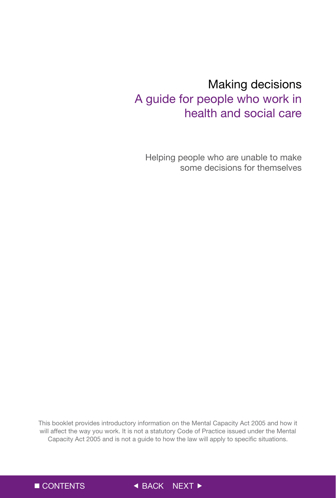# Making decisions A guide for people who work in health and social care

Helping people who are unable to make some decisions for themselves

This booklet provides introductory information on the Mental Capacity Act 2005 and how it will affect the way you work. It is not a statutory Code of Practice issued under the Mental Capacity Act 2005 and is not a guide to how the law will apply to specific situations.

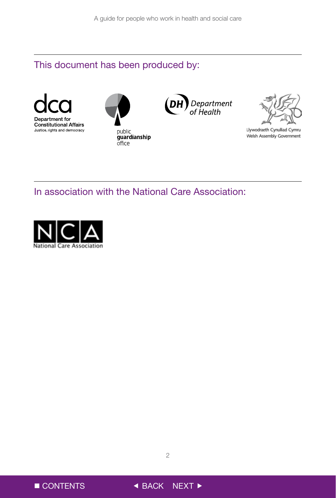### This document has been produced by:









Llywodraeth Cynulliad Cymru Welsh Assembly Government

### In association with the National Care Association:





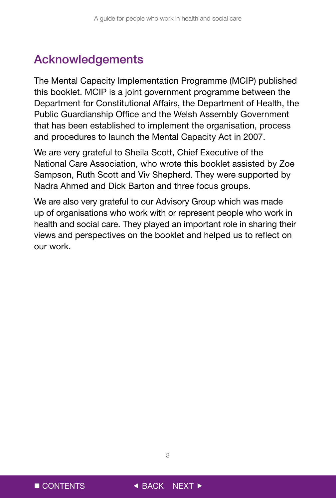# Acknowledgements

The Mental Capacity Implementation Programme (MCIP) published this booklet. MCIP is a joint government programme between the Department for Constitutional Affairs, the Department of Health, the Public Guardianship Office and the Welsh Assembly Government that has been established to implement the organisation, process and procedures to launch the Mental Capacity Act in 2007.

We are very grateful to Sheila Scott, Chief Executive of the National Care Association, who wrote this booklet assisted by Zoe Sampson, Ruth Scott and Viv Shepherd. They were supported by Nadra Ahmed and Dick Barton and three focus groups.

We are also very grateful to our Advisory Group which was made up of organisations who work with or represent people who work in health and social care. They played an important role in sharing their views and perspectives on the booklet and helped us to reflect on our work.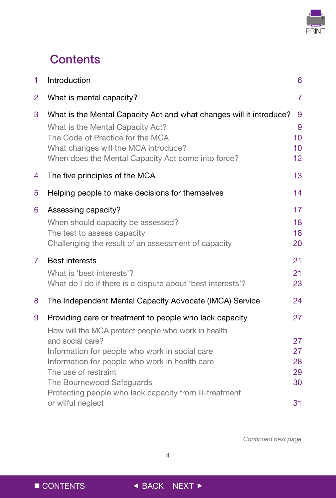

# **Contents**

| 1              | Introduction                                                                                                                                                                                                                              | 6                                     |
|----------------|-------------------------------------------------------------------------------------------------------------------------------------------------------------------------------------------------------------------------------------------|---------------------------------------|
| $\overline{2}$ | What is mental capacity?                                                                                                                                                                                                                  | $\overline{7}$                        |
| 3              | What is the Mental Capacity Act and what changes will it introduce?<br>What is the Mental Capacity Act?<br>The Code of Practice for the MCA<br>What changes will the MCA introduce?<br>When does the Mental Capacity Act come into force? | 9<br>9<br>10 <sup>1</sup><br>10<br>12 |
| 4              | The five principles of the MCA                                                                                                                                                                                                            | 13                                    |
| 5              | Helping people to make decisions for themselves                                                                                                                                                                                           | 14                                    |
| 6              | Assessing capacity?<br>When should capacity be assessed?<br>The test to assess capacity<br>Challenging the result of an assessment of capacity                                                                                            | 17<br>18<br>18<br>20                  |
| $\overline{7}$ | <b>Best interests</b><br>What is 'best interests'?<br>What do I do if there is a dispute about 'best interests'?                                                                                                                          | 21<br>21<br>23                        |
| 8              | The Independent Mental Capacity Advocate (IMCA) Service                                                                                                                                                                                   | 24                                    |
| 9              | Providing care or treatment to people who lack capacity<br>How will the MCA protect people who work in health                                                                                                                             | 27                                    |
|                | and social care?<br>Information for people who work in social care<br>Information for people who work in health care<br>The use of restraint<br>The Bournewood Safeguards<br>Protecting people who lack capacity from ill-treatment       | 27<br>27<br>28<br>29<br>30            |
|                | or wilful neglect                                                                                                                                                                                                                         | 31                                    |

*Continued next page*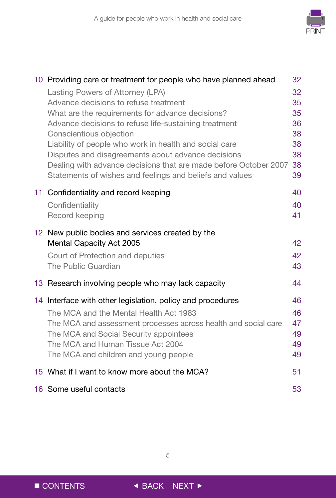

| 10 Providing care or treatment for people who have planned ahead<br>Lasting Powers of Attorney (LPA)<br>Advance decisions to refuse treatment<br>What are the requirements for advance decisions?<br>Advance decisions to refuse life-sustaining treatment<br>Conscientious objection<br>Liability of people who work in health and social care<br>Disputes and disagreements about advance decisions | 32<br>32<br>35<br>35<br>36<br>38<br>38<br>38 |
|-------------------------------------------------------------------------------------------------------------------------------------------------------------------------------------------------------------------------------------------------------------------------------------------------------------------------------------------------------------------------------------------------------|----------------------------------------------|
| Dealing with advance decisions that are made before October 2007<br>Statements of wishes and feelings and beliefs and values                                                                                                                                                                                                                                                                          | 38<br>39                                     |
| 11 Confidentiality and record keeping<br>Confidentiality<br>Record keeping                                                                                                                                                                                                                                                                                                                            | 40<br>40<br>41                               |
| 12 New public bodies and services created by the<br>Mental Capacity Act 2005<br>Court of Protection and deputies<br>The Public Guardian                                                                                                                                                                                                                                                               | 42<br>42<br>43                               |
| 13 Research involving people who may lack capacity                                                                                                                                                                                                                                                                                                                                                    | 44                                           |
| 14 Interface with other legislation, policy and procedures<br>The MCA and the Mental Health Act 1983<br>The MCA and assessment processes across health and social care<br>The MCA and Social Security appointees<br>The MCA and Human Tissue Act 2004<br>The MCA and children and young people                                                                                                        | 46<br>46<br>47<br>49<br>49<br>49             |
| 15 What if I want to know more about the MCA?                                                                                                                                                                                                                                                                                                                                                         | 51                                           |
| 16 Some useful contacts                                                                                                                                                                                                                                                                                                                                                                               | 53                                           |

 $\overline{5}$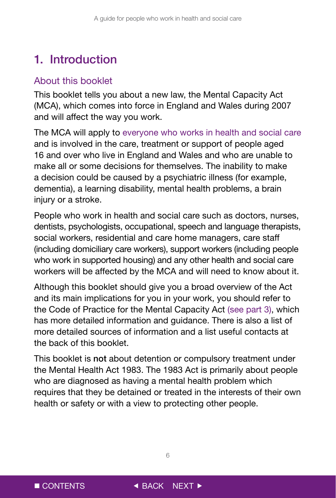# <span id="page-6-0"></span>1. Introduction

### About this booklet

This booklet tells you about a new law, the Mental Capacity Act (MCA), which comes into force in England and Wales during 2007 and will affect the way you work.

The MCA will apply to everyone who works in health and social care and is involved in the care, treatment or support of people aged 16 and over who live in England and Wales and who are unable to make all or some decisions for themselves. The inability to make a decision could be caused by a psychiatric illness (for example, dementia), a learning disability, mental health problems, a brain injury or a stroke.

People who work in health and social care such as doctors, nurses, dentists, psychologists, occupational, speech and language therapists, social workers, residential and care home managers, care staff (including domiciliary care workers), support workers (including people who work in supported housing) and any other health and social care workers will be affected by the MCA and will need to know about it.

Although this booklet should give you a broad overview of the Act and its main implications for you in your work, you should refer to the Code of Practice for the Mental Capacity Act (see part 3), which has more detailed information and guidance. There is also a list of more detailed sources of information and a list useful contacts at the back of this booklet.

This booklet is not about detention or compulsory treatment under the Mental Health Act 1983. The 1983 Act is primarily about people who are diagnosed as having a mental health problem which requires that they be detained or treated in the interests of their own health or safety or with a view to protecting other people.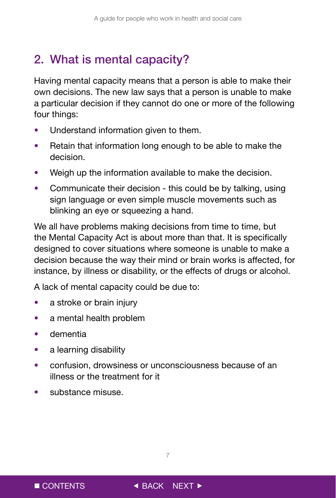# <span id="page-7-0"></span>2. What is mental capacity?

Having mental capacity means that a person is able to make their own decisions. The new law says that a person is unable to make a particular decision if they cannot do one or more of the following four things:

- Understand information given to them.
- Retain that information long enough to be able to make the decision.
- Weigh up the information available to make the decision.
- Communicate their decision this could be by talking, using sign language or even simple muscle movements such as blinking an eye or squeezing a hand.

We all have problems making decisions from time to time, but the Mental Capacity Act is about more than that. It is specifically designed to cover situations where someone is unable to make a decision because the way their mind or brain works is affected, for instance, by illness or disability, or the effects of drugs or alcohol.

A lack of mental capacity could be due to:

- a stroke or brain injury
- a mental health problem
- dementia
- a learning disability
- confusion, drowsiness or unconsciousness because of an illness or the treatment for it
- substance misuse.

 $\overline{7}$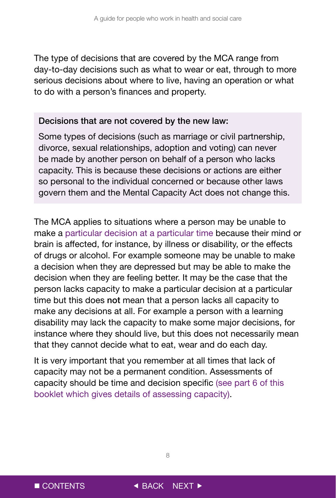The type of decisions that are covered by the MCA range from day-to-day decisions such as what to wear or eat, through to more serious decisions about where to live, having an operation or what to do with a person's finances and property.

#### Decisions that are not covered by the new law:

Some types of decisions (such as marriage or civil partnership, divorce, sexual relationships, adoption and voting) can never be made by another person on behalf of a person who lacks capacity. This is because these decisions or actions are either so personal to the individual concerned or because other laws govern them and the Mental Capacity Act does not change this.

The MCA applies to situations where a person may be unable to make a particular decision at a particular time because their mind or brain is affected, for instance, by illness or disability, or the effects of drugs or alcohol. For example someone may be unable to make a decision when they are depressed but may be able to make the decision when they are feeling better. It may be the case that the person lacks capacity to make a particular decision at a particular time but this does not mean that a person lacks all capacity to make any decisions at all. For example a person with a learning disability may lack the capacity to make some major decisions, for instance where they should live, but this does not necessarily mean that they cannot decide what to eat, wear and do each day.

It is very important that you remember at all times that lack of capacity may not be a permanent condition. Assessments of capacity should be time and decision specific (see part 6 of this booklet which gives details of assessing capacity).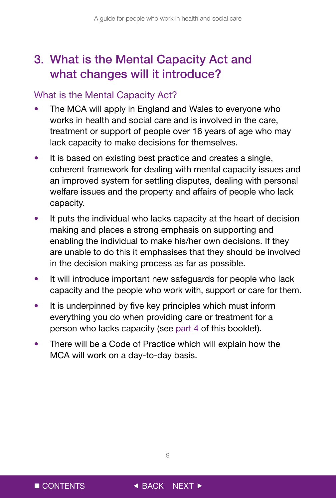# <span id="page-9-0"></span>3. What is the Mental Capacity Act and what changes will it introduce?

### What is the Mental Capacity Act?

- The MCA will apply in England and Wales to everyone who works in health and social care and is involved in the care, treatment or support of people over 16 years of age who may lack capacity to make decisions for themselves.
- It is based on existing best practice and creates a single, coherent framework for dealing with mental capacity issues and an improved system for settling disputes, dealing with personal welfare issues and the property and affairs of people who lack capacity.
- It puts the individual who lacks capacity at the heart of decision making and places a strong emphasis on supporting and enabling the individual to make his/her own decisions. If they are unable to do this it emphasises that they should be involved in the decision making process as far as possible.
- It will introduce important new safeguards for people who lack capacity and the people who work with, support or care for them.
- It is underpinned by five key principles which must inform everything you do when providing care or treatment for a person who lacks capacity (see part 4 of this booklet).
- There will be a Code of Practice which will explain how the MCA will work on a day-to-day basis.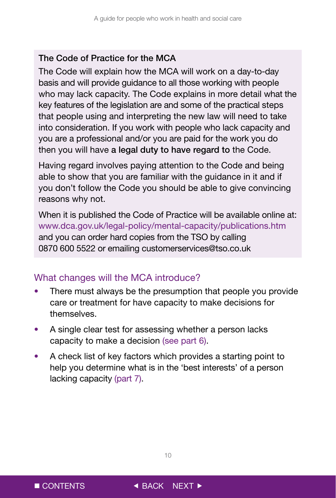#### <span id="page-10-0"></span>The Code of Practice for the MCA

The Code will explain how the MCA will work on a day-to-day basis and will provide guidance to all those working with people who may lack capacity. The Code explains in more detail what the key features of the legislation are and some of the practical steps that people using and interpreting the new law will need to take into consideration. If you work with people who lack capacity and you are a professional and/or you are paid for the work you do then you will have a legal duty to have regard to the Code.

Having regard involves paying attention to the Code and being able to show that you are familiar with the guidance in it and if you don't follow the Code you should be able to give convincing reasons why not.

When it is published the Code of Practice will be available online at: www.dca.gov.uk/legal-policy/mental-capacity/publications.htm and you can order hard copies from the TSO by calling 0870 600 5522 or emailing customerservices@tso.co.uk

### What changes will the MCA introduce?

- There must always be the presumption that people you provide care or treatment for have capacity to make decisions for themselves.
- A single clear test for assessing whether a person lacks capacity to make a decision (see part 6).
- A check list of key factors which provides a starting point to help you determine what is in the 'best interests' of a person lacking capacity (part 7).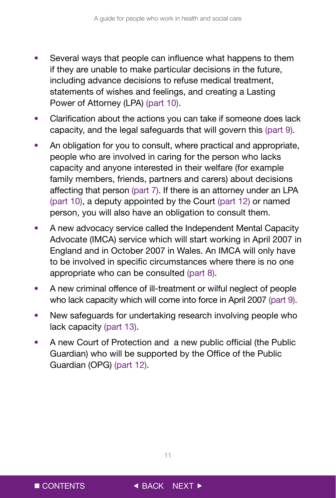- Several ways that people can influence what happens to them if they are unable to make particular decisions in the future, including advance decisions to refuse medical treatment, statements of wishes and feelings, and creating a Lasting Power of Attorney (LPA) (part 10).
- Clarification about the actions you can take if someone does lack capacity, and the legal safeguards that will govern this (part 9).
- An obligation for you to consult, where practical and appropriate, people who are involved in caring for the person who lacks capacity and anyone interested in their welfare (for example family members, friends, partners and carers) about decisions affecting that person (part 7). If there is an attorney under an LPA (part 10), a deputy appointed by the Court (part 12) or named person, you will also have an obligation to consult them.
- A new advocacy service called the Independent Mental Capacity Advocate (IMCA) service which will start working in April 2007 in England and in October 2007 in Wales. An IMCA will only have to be involved in specific circumstances where there is no one appropriate who can be consulted (part 8).
- A new criminal offence of ill-treatment or wilful neglect of people who lack capacity which will come into force in April 2007 (part 9).
- New safeguards for undertaking research involving people who lack capacity (part 13).
- A new Court of Protection and a new public official (the Public Guardian) who will be supported by the Office of the Public Guardian (OPG) (part 12).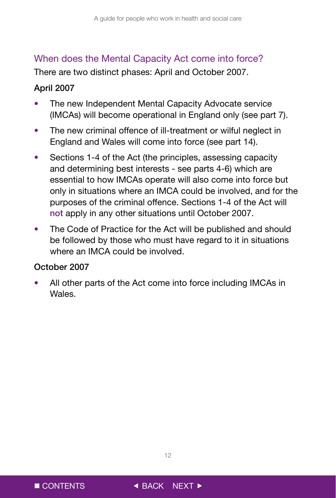### <span id="page-12-0"></span>When does the Mental Capacity Act come into force?

There are two distinct phases: April and October 2007.

### April 2007

- The new Independent Mental Capacity Advocate service (IMCAs) will become operational in England only (see part 7).
- The new criminal offence of ill-treatment or wilful neglect in England and Wales will come into force (see part 14).
- Sections 1-4 of the Act (the principles, assessing capacity and determining best interests - see parts 4-6) which are essential to how IMCAs operate will also come into force but only in situations where an IMCA could be involved, and for the purposes of the criminal offence. Sections 1-4 of the Act will not apply in any other situations until October 2007.
- The Code of Practice for the Act will be published and should be followed by those who must have regard to it in situations where an IMCA could be involved.

### October 2007

All other parts of the Act come into force including IMCAs in Wales.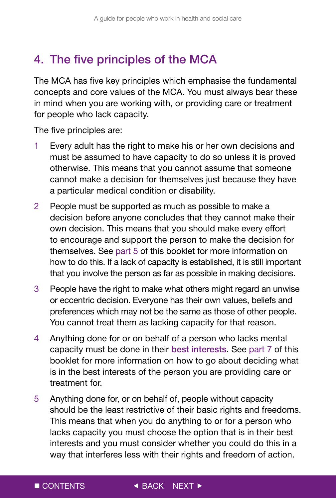# <span id="page-13-0"></span>4. The five principles of the MCA

The MCA has five key principles which emphasise the fundamental concepts and core values of the MCA. You must always bear these in mind when you are working with, or providing care or treatment for people who lack capacity.

The five principles are:

- 1 Every adult has the right to make his or her own decisions and must be assumed to have capacity to do so unless it is proved otherwise. This means that you cannot assume that someone cannot make a decision for themselves just because they have a particular medical condition or disability.
- 2 People must be supported as much as possible to make a decision before anyone concludes that they cannot make their own decision. This means that you should make every effort to encourage and support the person to make the decision for themselves. See part 5 of this booklet for more information on how to do this. If a lack of capacity is established, it is still important that you involve the person as far as possible in making decisions.
- 3 People have the right to make what others might regard an unwise or eccentric decision. Everyone has their own values, beliefs and preferences which may not be the same as those of other people. You cannot treat them as lacking capacity for that reason.
- 4 Anything done for or on behalf of a person who lacks mental capacity must be done in their best interests. See part 7 of this booklet for more information on how to go about deciding what is in the best interests of the person you are providing care or treatment for.
- way that interferes less with their rights and freedom of action. 5 Anything done for, or on behalf of, people without capacity should be the least restrictive of their basic rights and freedoms. This means that when you do anything to or for a person who lacks capacity you must choose the option that is in their best interests and you must consider whether you could do this in a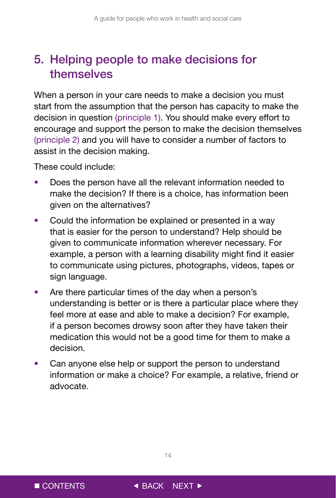# <span id="page-14-0"></span>5. Helping people to make decisions for themselves

When a person in your care needs to make a decision you must start from the assumption that the person has capacity to make the decision in question (principle 1). You should make every effort to encourage and support the person to make the decision themselves (principle 2) and you will have to consider a number of factors to assist in the decision making.

These could include:

- Does the person have all the relevant information needed to make the decision? If there is a choice, has information been given on the alternatives?
- Could the information be explained or presented in a way that is easier for the person to understand? Help should be given to communicate information wherever necessary. For example, a person with a learning disability might find it easier to communicate using pictures, photographs, videos, tapes or sign language.
- Are there particular times of the day when a person's understanding is better or is there a particular place where they feel more at ease and able to make a decision? For example, if a person becomes drowsy soon after they have taken their medication this would not be a good time for them to make a decision.
- Can anyone else help or support the person to understand information or make a choice? For example, a relative, friend or advocate.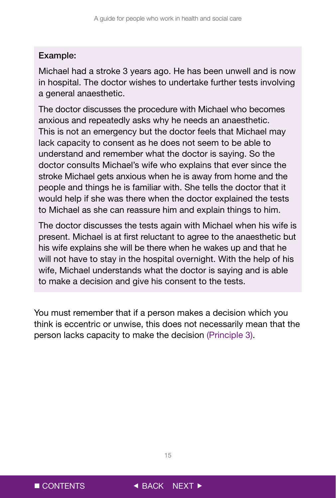#### Example:

Michael had a stroke 3 years ago. He has been unwell and is now in hospital. The doctor wishes to undertake further tests involving a general anaesthetic.

The doctor discusses the procedure with Michael who becomes anxious and repeatedly asks why he needs an anaesthetic. This is not an emergency but the doctor feels that Michael may lack capacity to consent as he does not seem to be able to understand and remember what the doctor is saying. So the doctor consults Michael's wife who explains that ever since the stroke Michael gets anxious when he is away from home and the people and things he is familiar with. She tells the doctor that it would help if she was there when the doctor explained the tests to Michael as she can reassure him and explain things to him.

The doctor discusses the tests again with Michael when his wife is present. Michael is at first reluctant to agree to the anaesthetic but his wife explains she will be there when he wakes up and that he will not have to stay in the hospital overnight. With the help of his wife, Michael understands what the doctor is saying and is able to make a decision and give his consent to the tests.

You must remember that if a person makes a decision which you think is eccentric or unwise, this does not necessarily mean that the person lacks capacity to make the decision (Principle 3).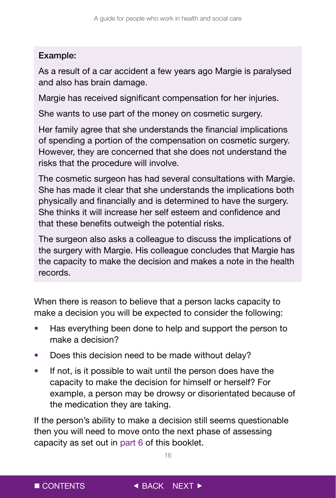### Example:

As a result of a car accident a few years ago Margie is paralysed and also has brain damage.

Margie has received significant compensation for her injuries.

She wants to use part of the money on cosmetic surgery.

Her family agree that she understands the financial implications of spending a portion of the compensation on cosmetic surgery. However, they are concerned that she does not understand the risks that the procedure will involve.

The cosmetic surgeon has had several consultations with Margie. She has made it clear that she understands the implications both physically and financially and is determined to have the surgery. She thinks it will increase her self esteem and confidence and that these benefits outweigh the potential risks.

The surgeon also asks a colleague to discuss the implications of the surgery with Margie. His colleague concludes that Margie has the capacity to make the decision and makes a note in the health records.

When there is reason to believe that a person lacks capacity to make a decision you will be expected to consider the following:

- Has everything been done to help and support the person to make a decision?
- Does this decision need to be made without delay?
- If not, is it possible to wait until the person does have the capacity to make the decision for himself or herself? For example, a person may be drowsy or disorientated because of the medication they are taking.

If the person's ability to make a decision still seems questionable then you will need to move onto the next phase of assessing capacity as set out in part 6 of this booklet.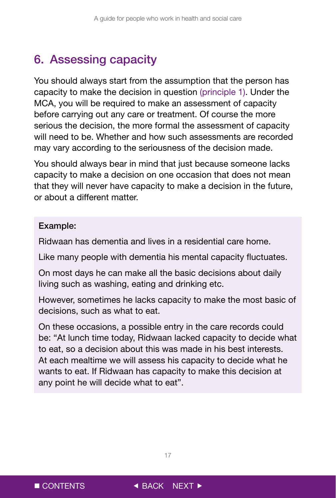# <span id="page-17-0"></span>6. Assessing capacity

You should always start from the assumption that the person has capacity to make the decision in question (principle 1). Under the MCA, you will be required to make an assessment of capacity before carrying out any care or treatment. Of course the more serious the decision, the more formal the assessment of capacity will need to be. Whether and how such assessments are recorded may vary according to the seriousness of the decision made.

You should always bear in mind that just because someone lacks capacity to make a decision on one occasion that does not mean that they will never have capacity to make a decision in the future, or about a different matter.

#### Example:

Ridwaan has dementia and lives in a residential care home.

Like many people with dementia his mental capacity fluctuates.

On most days he can make all the basic decisions about daily living such as washing, eating and drinking etc.

However, sometimes he lacks capacity to make the most basic of decisions, such as what to eat.

On these occasions, a possible entry in the care records could be: "At lunch time today, Ridwaan lacked capacity to decide what to eat, so a decision about this was made in his best interests. At each mealtime we will assess his capacity to decide what he wants to eat. If Ridwaan has capacity to make this decision at any point he will decide what to eat".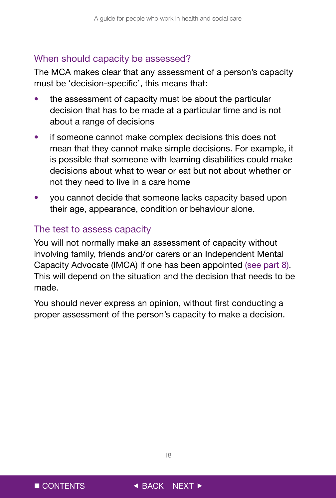#### <span id="page-18-0"></span>When should capacity be assessed?

The MCA makes clear that any assessment of a person's capacity must be 'decision-specific', this means that:

- the assessment of capacity must be about the particular decision that has to be made at a particular time and is not about a range of decisions
- if someone cannot make complex decisions this does not mean that they cannot make simple decisions. For example, it is possible that someone with learning disabilities could make decisions about what to wear or eat but not about whether or not they need to live in a care home
- you cannot decide that someone lacks capacity based upon their age, appearance, condition or behaviour alone.

#### The test to assess capacity

You will not normally make an assessment of capacity without involving family, friends and/or carers or an Independent Mental Capacity Advocate (IMCA) if one has been appointed (see part 8). This will depend on the situation and the decision that needs to be made.

You should never express an opinion, without first conducting a proper assessment of the person's capacity to make a decision.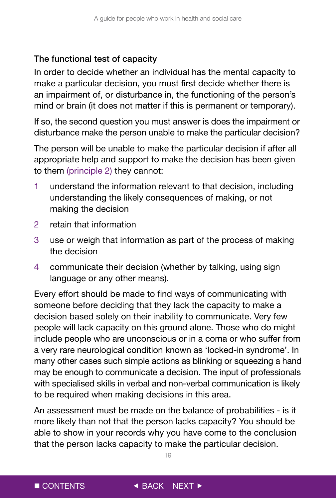### The functional test of capacity

In order to decide whether an individual has the mental capacity to make a particular decision, you must first decide whether there is an impairment of, or disturbance in, the functioning of the person's mind or brain (it does not matter if this is permanent or temporary).

If so, the second question you must answer is does the impairment or disturbance make the person unable to make the particular decision?

The person will be unable to make the particular decision if after all appropriate help and support to make the decision has been given to them (principle 2) they cannot:

- 1 understand the information relevant to that decision, including understanding the likely consequences of making, or not making the decision
- 2 retain that information
- 3 use or weigh that information as part of the process of making the decision
- 4 communicate their decision (whether by talking, using sign language or any other means).

Every effort should be made to find ways of communicating with someone before deciding that they lack the capacity to make a decision based solely on their inability to communicate. Very few people will lack capacity on this ground alone. Those who do might include people who are unconscious or in a coma or who suffer from a very rare neurological condition known as 'locked-in syndrome'. In many other cases such simple actions as blinking or squeezing a hand may be enough to communicate a decision. The input of professionals with specialised skills in verbal and non-verbal communication is likely to be required when making decisions in this area.

An assessment must be made on the balance of probabilities - is it more likely than not that the person lacks capacity? You should be able to show in your records why you have come to the conclusion that the person lacks capacity to make the particular decision.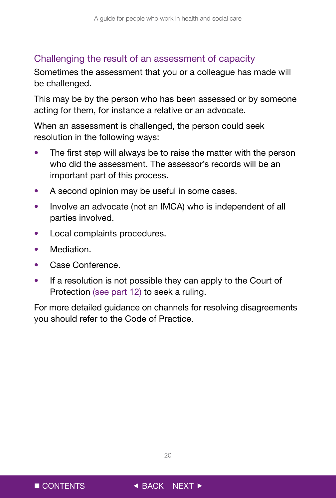### <span id="page-20-0"></span>Challenging the result of an assessment of capacity

Sometimes the assessment that you or a colleague has made will be challenged.

This may be by the person who has been assessed or by someone acting for them, for instance a relative or an advocate.

When an assessment is challenged, the person could seek resolution in the following ways:

- The first step will always be to raise the matter with the person who did the assessment. The assessor's records will be an important part of this process.
- A second opinion may be useful in some cases.
- Involve an advocate (not an IMCA) who is independent of all parties involved.
- Local complaints procedures.
- Mediation.
- Case Conference.
- If a resolution is not possible they can apply to the Court of Protection (see part 12) to seek a ruling.

For more detailed guidance on channels for resolving disagreements you should refer to the Code of Practice.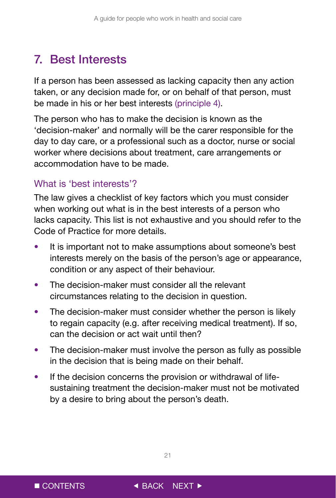# <span id="page-21-0"></span>7. Best Interests

If a person has been assessed as lacking capacity then any action taken, or any decision made for, or on behalf of that person, must be made in his or her best interests (principle 4).

The person who has to make the decision is known as the 'decision-maker' and normally will be the carer responsible for the day to day care, or a professional such as a doctor, nurse or social worker where decisions about treatment, care arrangements or accommodation have to be made.

### What is 'best interests'?

The law gives a checklist of key factors which you must consider when working out what is in the best interests of a person who lacks capacity. This list is not exhaustive and you should refer to the Code of Practice for more details.

- It is important not to make assumptions about someone's best interests merely on the basis of the person's age or appearance, condition or any aspect of their behaviour.
- The decision-maker must consider all the relevant circumstances relating to the decision in question.
- The decision-maker must consider whether the person is likely to regain capacity (e.g. after receiving medical treatment). If so, can the decision or act wait until then?
- The decision-maker must involve the person as fully as possible in the decision that is being made on their behalf.
- If the decision concerns the provision or withdrawal of lifesustaining treatment the decision-maker must not be motivated by a desire to bring about the person's death.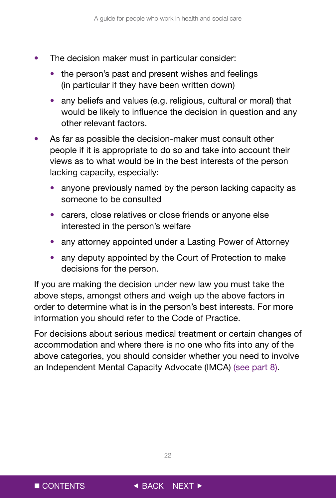- The decision maker must in particular consider:
	- the person's past and present wishes and feelings (in particular if they have been written down)
	- any beliefs and values (e.g. religious, cultural or moral) that would be likely to influence the decision in question and any other relevant factors.
- As far as possible the decision-maker must consult other people if it is appropriate to do so and take into account their views as to what would be in the best interests of the person lacking capacity, especially:
	- anyone previously named by the person lacking capacity as someone to be consulted
	- carers, close relatives or close friends or anyone else interested in the person's welfare
	- any attorney appointed under a Lasting Power of Attorney
	- any deputy appointed by the Court of Protection to make decisions for the person.

If you are making the decision under new law you must take the above steps, amongst others and weigh up the above factors in order to determine what is in the person's best interests. For more information you should refer to the Code of Practice.

For decisions about serious medical treatment or certain changes of accommodation and where there is no one who fits into any of the above categories, you should consider whether you need to involve an Independent Mental Capacity Advocate (IMCA) (see part 8).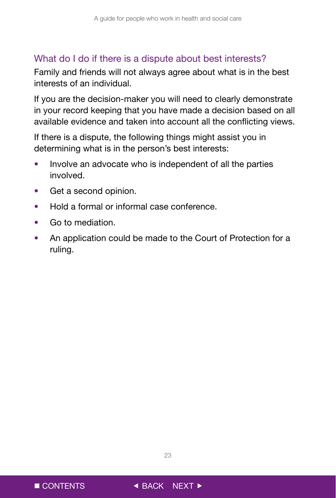### <span id="page-23-0"></span>What do I do if there is a dispute about best interests?

Family and friends will not always agree about what is in the best interests of an individual.

If you are the decision-maker you will need to clearly demonstrate in your record keeping that you have made a decision based on all available evidence and taken into account all the conflicting views.

If there is a dispute, the following things might assist you in determining what is in the person's best interests:

- Involve an advocate who is independent of all the parties involved.
- Get a second opinion.
- Hold a formal or informal case conference.
- Go to mediation.
- An application could be made to the Court of Protection for a ruling.



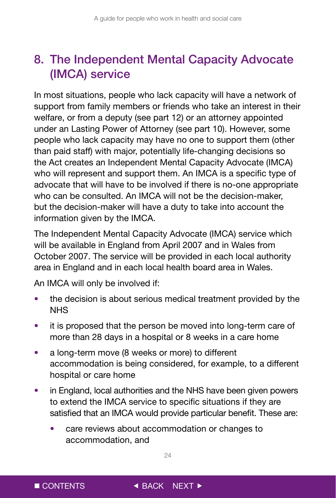# <span id="page-24-0"></span>8. The Independent Mental Capacity Advocate (IMCA) service

In most situations, people who lack capacity will have a network of support from family members or friends who take an interest in their welfare, or from a deputy (see part 12) or an attorney appointed under an Lasting Power of Attorney (see part 10). However, some people who lack capacity may have no one to support them (other than paid staff) with major, potentially life-changing decisions so the Act creates an Independent Mental Capacity Advocate (IMCA) who will represent and support them. An IMCA is a specific type of advocate that will have to be involved if there is no-one appropriate who can be consulted. An IMCA will not be the decision-maker, but the decision-maker will have a duty to take into account the information given by the IMCA.

The Independent Mental Capacity Advocate (IMCA) service which will be available in England from April 2007 and in Wales from October 2007. The service will be provided in each local authority area in England and in each local health board area in Wales.

An IMCA will only be involved if:

- the decision is about serious medical treatment provided by the NHS
- it is proposed that the person be moved into long-term care of more than 28 days in a hospital or 8 weeks in a care home
- a long-term move (8 weeks or more) to different accommodation is being considered, for example, to a different hospital or care home
- in England, local authorities and the NHS have been given powers to extend the IMCA service to specific situations if they are satisfied that an IMCA would provide particular benefit. These are:
	- care reviews about accommodation or changes to accommodation, and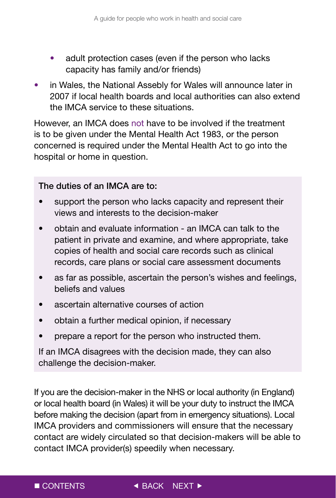- adult protection cases (even if the person who lacks capacity has family and/or friends)
- in Wales, the National Assebly for Wales will announce later in 2007 if local health boards and local authorities can also extend the IMCA service to these situations.

However, an IMCA does not have to be involved if the treatment is to be given under the Mental Health Act 1983, or the person concerned is required under the Mental Health Act to go into the hospital or home in question.

### The duties of an IMCA are to:

- support the person who lacks capacity and represent their views and interests to the decision-maker
- obtain and evaluate information an IMCA can talk to the patient in private and examine, and where appropriate, take copies of health and social care records such as clinical records, care plans or social care assessment documents
- as far as possible, ascertain the person's wishes and feelings, beliefs and values
- ascertain alternative courses of action
- obtain a further medical opinion, if necessary
- prepare a report for the person who instructed them.

If an IMCA disagrees with the decision made, they can also challenge the decision-maker.

If you are the decision-maker in the NHS or local authority (in England) or local health board (in Wales) it will be your duty to instruct the IMCA before making the decision (apart from in emergency situations). Local IMCA providers and commissioners will ensure that the necessary contact are widely circulated so that decision-makers will be able to contact IMCA provider(s) speedily when necessary.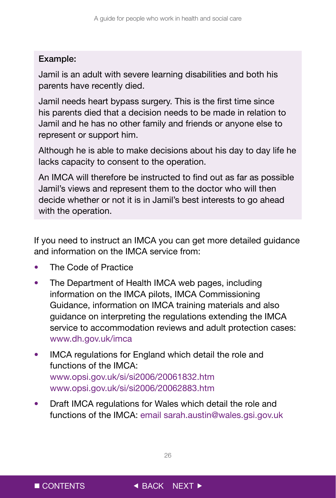### Example:

Jamil is an adult with severe learning disabilities and both his parents have recently died.

Jamil needs heart bypass surgery. This is the first time since his parents died that a decision needs to be made in relation to Jamil and he has no other family and friends or anyone else to represent or support him.

Although he is able to make decisions about his day to day life he lacks capacity to consent to the operation.

An IMCA will therefore be instructed to find out as far as possible Jamil's views and represent them to the doctor who will then decide whether or not it is in Jamil's best interests to go ahead with the operation.

If you need to instruct an IMCA you can get more detailed guidance and information on the IMCA service from:

- The Code of Practice
- The Department of Health IMCA web pages, including information on the IMCA pilots, IMCA Commissioning Guidance, information on IMCA training materials and also guidance on interpreting the regulations extending the IMCA service to accommodation reviews and adult protection cases: www.dh.gov.uk/imca
- IMCA regulations for England which detail the role and functions of the IMCA: www.opsi.gov.uk/si/si2006/20061832.htm www.opsi.gov.uk/si/si2006/20062883.htm
- Draft IMCA regulations for Wales which detail the role and functions of the IMCA: email sarah.austin@wales.gsi.gov.uk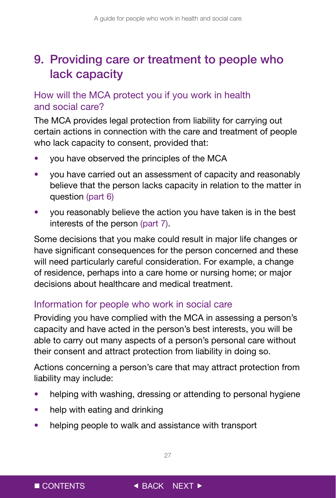# <span id="page-27-0"></span>9. Providing care or treatment to people who lack capacity

### How will the MCA protect you if you work in health and social care?

The MCA provides legal protection from liability for carrying out certain actions in connection with the care and treatment of people who lack capacity to consent, provided that:

- you have observed the principles of the MCA
- you have carried out an assessment of capacity and reasonably believe that the person lacks capacity in relation to the matter in question (part 6)
- you reasonably believe the action you have taken is in the best interests of the person (part 7).

Some decisions that you make could result in major life changes or have significant consequences for the person concerned and these will need particularly careful consideration. For example, a change of residence, perhaps into a care home or nursing home; or major decisions about healthcare and medical treatment.

### Information for people who work in social care

Providing you have complied with the MCA in assessing a person's capacity and have acted in the person's best interests, you will be able to carry out many aspects of a person's personal care without their consent and attract protection from liability in doing so.

Actions concerning a person's care that may attract protection from liability may include:

- helping with washing, dressing or attending to personal hygiene
- help with eating and drinking
- helping people to walk and assistance with transport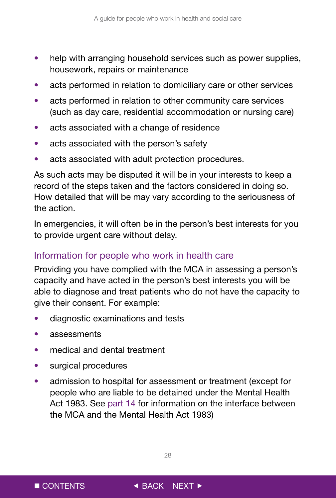- <span id="page-28-0"></span>• help with arranging household services such as power supplies, housework, repairs or maintenance
- acts performed in relation to domiciliary care or other services
- acts performed in relation to other community care services (such as day care, residential accommodation or nursing care)
- acts associated with a change of residence
- acts associated with the person's safety
- acts associated with adult protection procedures.

As such acts may be disputed it will be in your interests to keep a record of the steps taken and the factors considered in doing so. How detailed that will be may vary according to the seriousness of the action.

In emergencies, it will often be in the person's best interests for you to provide urgent care without delay.

### Information for people who work in health care

Providing you have complied with the MCA in assessing a person's capacity and have acted in the person's best interests you will be able to diagnose and treat patients who do not have the capacity to give their consent. For example:

- diagnostic examinations and tests
- assessments
- medical and dental treatment
- surgical procedures
- admission to hospital for assessment or treatment (except for people who are liable to be detained under the Mental Health Act 1983. See part 14 for information on the interface between the MCA and the Mental Health Act 1983)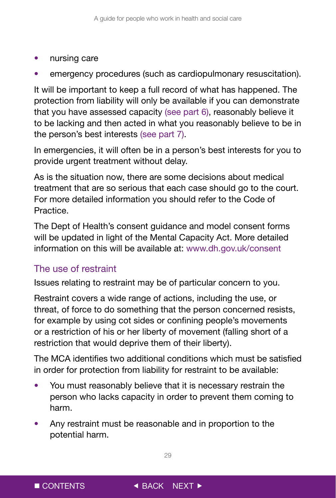- <span id="page-29-0"></span>• nursing care
- emergency procedures (such as cardiopulmonary resuscitation).

It will be important to keep a full record of what has happened. The protection from liability will only be available if you can demonstrate that you have assessed capacity (see part 6), reasonably believe it to be lacking and then acted in what you reasonably believe to be in the person's best interests (see part 7).

In emergencies, it will often be in a person's best interests for you to provide urgent treatment without delay.

As is the situation now, there are some decisions about medical treatment that are so serious that each case should go to the court. For more detailed information you should refer to the Code of Practice.

The Dept of Health's consent guidance and model consent forms will be updated in light of the Mental Capacity Act. More detailed information on this will be available at: www.dh.gov.uk/consent

### The use of restraint

Issues relating to restraint may be of particular concern to you.

Restraint covers a wide range of actions, including the use, or threat, of force to do something that the person concerned resists, for example by using cot sides or confining people's movements or a restriction of his or her liberty of movement (falling short of a restriction that would deprive them of their liberty).

The MCA identifies two additional conditions which must be satisfied in order for protection from liability for restraint to be available:

- You must reasonably believe that it is necessary restrain the person who lacks capacity in order to prevent them coming to harm.
- Any restraint must be reasonable and in proportion to the potential harm.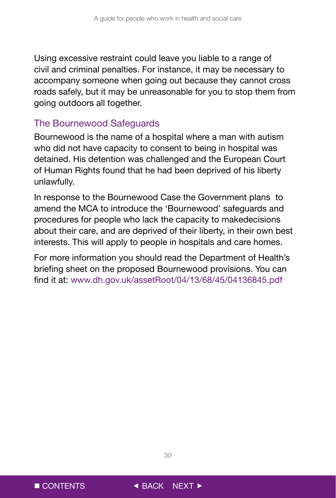<span id="page-30-0"></span>Using excessive restraint could leave you liable to a range of civil and criminal penalties. For instance, it may be necessary to accompany someone when going out because they cannot cross roads safely, but it may be unreasonable for you to stop them from going outdoors all together.

### The Bournewood Safeguards

Bournewood is the name of a hospital where a man with autism who did not have capacity to consent to being in hospital was detained. His detention was challenged and the European Court of Human Rights found that he had been deprived of his liberty unlawfully.

In response to the Bournewood Case the Government plans to amend the MCA to introduce the 'Bournewood' safeguards and procedures for people who lack the capacity to makedecisions about their care, and are deprived of their liberty, in their own best interests. This will apply to people in hospitals and care homes.

For more information you should read the Department of Health's briefing sheet on the proposed Bournewood provisions. You can find it at: www.dh.gov.uk/assetRoot/04/13/68/45/04136845.pdf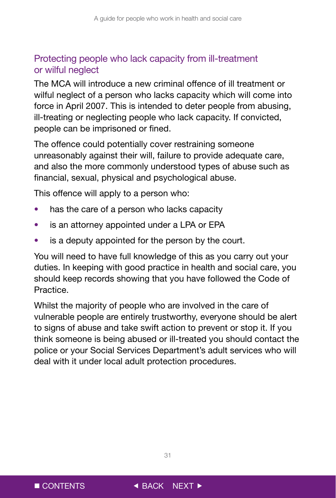### <span id="page-31-0"></span>Protecting people who lack capacity from ill-treatment or wilful neglect

The MCA will introduce a new criminal offence of ill treatment or wilful neglect of a person who lacks capacity which will come into force in April 2007. This is intended to deter people from abusing, ill-treating or neglecting people who lack capacity. If convicted, people can be imprisoned or fined.

The offence could potentially cover restraining someone unreasonably against their will, failure to provide adequate care, and also the more commonly understood types of abuse such as financial, sexual, physical and psychological abuse.

This offence will apply to a person who:

- has the care of a person who lacks capacity
- is an attorney appointed under a LPA or EPA
- is a deputy appointed for the person by the court.

You will need to have full knowledge of this as you carry out your duties. In keeping with good practice in health and social care, you should keep records showing that you have followed the Code of Practice.

Whilst the majority of people who are involved in the care of vulnerable people are entirely trustworthy, everyone should be alert to signs of abuse and take swift action to prevent or stop it. If you think someone is being abused or ill-treated you should contact the police or your Social Services Department's adult services who will deal with it under local adult protection procedures.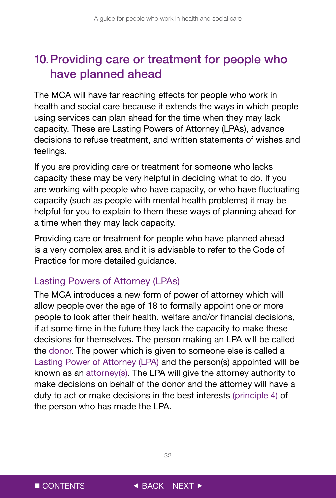# <span id="page-32-0"></span>10. Providing care or treatment for people who have planned ahead

The MCA will have far reaching effects for people who work in health and social care because it extends the ways in which people using services can plan ahead for the time when they may lack capacity. These are Lasting Powers of Attorney (LPAs), advance decisions to refuse treatment, and written statements of wishes and feelings.

If you are providing care or treatment for someone who lacks capacity these may be very helpful in deciding what to do. If you are working with people who have capacity, or who have fluctuating capacity (such as people with mental health problems) it may be helpful for you to explain to them these ways of planning ahead for a time when they may lack capacity.

Providing care or treatment for people who have planned ahead is a very complex area and it is advisable to refer to the Code of Practice for more detailed guidance.

### Lasting Powers of Attorney (LPAs)

The MCA introduces a new form of power of attorney which will allow people over the age of 18 to formally appoint one or more people to look after their health, welfare and/or financial decisions, if at some time in the future they lack the capacity to make these decisions for themselves. The person making an LPA will be called the donor. The power which is given to someone else is called a Lasting Power of Attorney (LPA) and the person(s) appointed will be known as an attorney(s). The LPA will give the attorney authority to make decisions on behalf of the donor and the attorney will have a duty to act or make decisions in the best interests (principle 4) of the person who has made the LPA.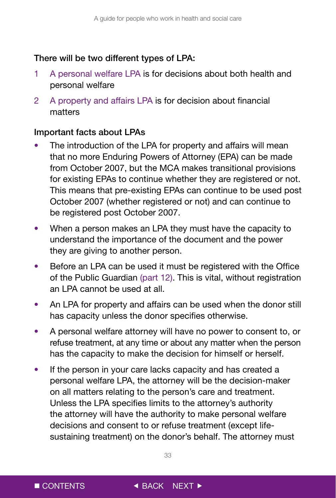#### There will be two different types of LPA:

- 1 A personal welfare LPA is for decisions about both health and personal welfare
- 2 A property and affairs LPA is for decision about financial matters

### Important facts about LPAs

- The introduction of the LPA for property and affairs will mean that no more Enduring Powers of Attorney (EPA) can be made from October 2007, but the MCA makes transitional provisions for existing EPAs to continue whether they are registered or not. This means that pre-existing EPAs can continue to be used post October 2007 (whether registered or not) and can continue to be registered post October 2007.
- When a person makes an LPA they must have the capacity to understand the importance of the document and the power they are giving to another person.
- Before an LPA can be used it must be registered with the Office of the Public Guardian (part 12). This is vital, without registration an LPA cannot be used at all.
- An LPA for property and affairs can be used when the donor still has capacity unless the donor specifies otherwise.
- A personal welfare attorney will have no power to consent to, or refuse treatment, at any time or about any matter when the person has the capacity to make the decision for himself or herself.
- If the person in your care lacks capacity and has created a personal welfare LPA, the attorney will be the decision-maker on all matters relating to the person's care and treatment. Unless the LPA specifies limits to the attorney's authority the attorney will have the authority to make personal welfare decisions and consent to or refuse treatment (except lifesustaining treatment) on the donor's behalf. The attorney must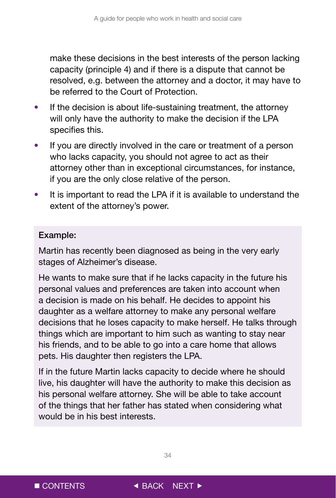make these decisions in the best interests of the person lacking capacity (principle 4) and if there is a dispute that cannot be resolved, e.g. between the attorney and a doctor, it may have to be referred to the Court of Protection.

- If the decision is about life-sustaining treatment, the attorney will only have the authority to make the decision if the LPA specifies this.
- If you are directly involved in the care or treatment of a person who lacks capacity, you should not agree to act as their attorney other than in exceptional circumstances, for instance, if you are the only close relative of the person.
- It is important to read the LPA if it is available to understand the extent of the attorney's power.

#### Example:

Martin has recently been diagnosed as being in the very early stages of Alzheimer's disease.

He wants to make sure that if he lacks capacity in the future his personal values and preferences are taken into account when a decision is made on his behalf. He decides to appoint his daughter as a welfare attorney to make any personal welfare decisions that he loses capacity to make herself. He talks through things which are important to him such as wanting to stay near his friends, and to be able to go into a care home that allows pets. His daughter then registers the LPA.

If in the future Martin lacks capacity to decide where he should live, his daughter will have the authority to make this decision as his personal welfare attorney. She will be able to take account of the things that her father has stated when considering what would be in his best interests.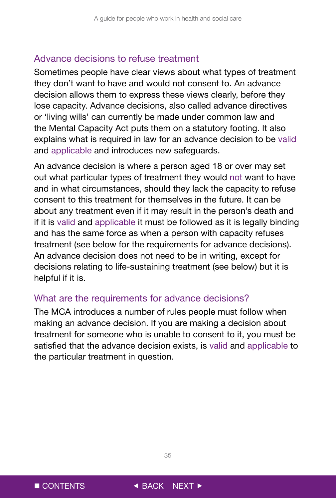#### <span id="page-35-0"></span>Advance decisions to refuse treatment

Sometimes people have clear views about what types of treatment they don't want to have and would not consent to. An advance decision allows them to express these views clearly, before they lose capacity. Advance decisions, also called advance directives or 'living wills' can currently be made under common law and the Mental Capacity Act puts them on a statutory footing. It also explains what is required in law for an advance decision to be valid and applicable and introduces new safeguards.

An advance decision is where a person aged 18 or over may set out what particular types of treatment they would not want to have and in what circumstances, should they lack the capacity to refuse consent to this treatment for themselves in the future. It can be about any treatment even if it may result in the person's death and if it is valid and applicable it must be followed as it is legally binding and has the same force as when a person with capacity refuses treatment (see below for the requirements for advance decisions). An advance decision does not need to be in writing, except for decisions relating to life-sustaining treatment (see below) but it is helpful if it is.

#### What are the requirements for advance decisions?

The MCA introduces a number of rules people must follow when making an advance decision. If you are making a decision about treatment for someone who is unable to consent to it, you must be satisfied that the advance decision exists, is valid and applicable to the particular treatment in question.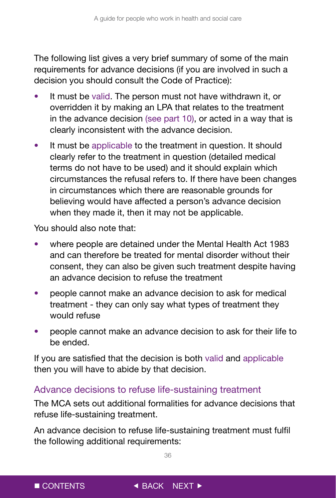<span id="page-36-0"></span>The following list gives a very brief summary of some of the main requirements for advance decisions (if you are involved in such a decision you should consult the Code of Practice):

- It must be valid. The person must not have withdrawn it, or overridden it by making an LPA that relates to the treatment in the advance decision (see part 10), or acted in a way that is clearly inconsistent with the advance decision.
- It must be applicable to the treatment in question. It should clearly refer to the treatment in question (detailed medical terms do not have to be used) and it should explain which circumstances the refusal refers to. If there have been changes in circumstances which there are reasonable grounds for believing would have affected a person's advance decision when they made it, then it may not be applicable.

You should also note that:

- where people are detained under the Mental Health Act 1983 and can therefore be treated for mental disorder without their consent, they can also be given such treatment despite having an advance decision to refuse the treatment
- people cannot make an advance decision to ask for medical treatment - they can only say what types of treatment they would refuse
- people cannot make an advance decision to ask for their life to be ended.

If you are satisfied that the decision is both valid and applicable then you will have to abide by that decision.

### Advance decisions to refuse life-sustaining treatment

The MCA sets out additional formalities for advance decisions that refuse life-sustaining treatment.

An advance decision to refuse life-sustaining treatment must fulfil the following additional requirements: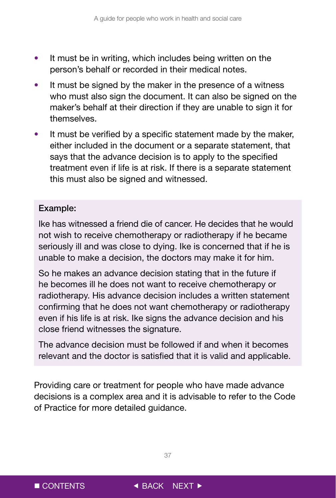- It must be in writing, which includes being written on the person's behalf or recorded in their medical notes.
- It must be signed by the maker in the presence of a witness who must also sign the document. It can also be signed on the maker's behalf at their direction if they are unable to sign it for themselves.
- It must be verified by a specific statement made by the maker. either included in the document or a separate statement, that says that the advance decision is to apply to the specified treatment even if life is at risk. If there is a separate statement this must also be signed and witnessed.

#### Example:

Ike has witnessed a friend die of cancer. He decides that he would not wish to receive chemotherapy or radiotherapy if he became seriously ill and was close to dying. Ike is concerned that if he is unable to make a decision, the doctors may make it for him.

So he makes an advance decision stating that in the future if he becomes ill he does not want to receive chemotherapy or radiotherapy. His advance decision includes a written statement confirming that he does not want chemotherapy or radiotherapy even if his life is at risk. Ike signs the advance decision and his close friend witnesses the signature.

The advance decision must be followed if and when it becomes relevant and the doctor is satisfied that it is valid and applicable.

Providing care or treatment for people who have made advance decisions is a complex area and it is advisable to refer to the Code of Practice for more detailed guidance.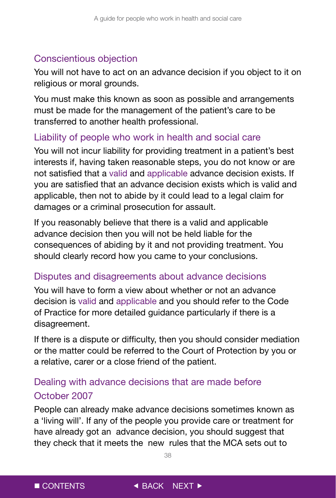### <span id="page-38-0"></span>Conscientious objection

You will not have to act on an advance decision if you object to it on religious or moral grounds.

You must make this known as soon as possible and arrangements must be made for the management of the patient's care to be transferred to another health professional.

### Liability of people who work in health and social care

You will not incur liability for providing treatment in a patient's best interests if, having taken reasonable steps, you do not know or are not satisfied that a valid and applicable advance decision exists. If you are satisfied that an advance decision exists which is valid and applicable, then not to abide by it could lead to a legal claim for damages or a criminal prosecution for assault.

If you reasonably believe that there is a valid and applicable advance decision then you will not be held liable for the consequences of abiding by it and not providing treatment. You should clearly record how you came to your conclusions.

### Disputes and disagreements about advance decisions

You will have to form a view about whether or not an advance decision is valid and applicable and you should refer to the Code of Practice for more detailed guidance particularly if there is a disagreement.

If there is a dispute or difficulty, then you should consider mediation or the matter could be referred to the Court of Protection by you or a relative, carer or a close friend of the patient.

### Dealing with advance decisions that are made before October 2007

People can already make advance decisions sometimes known as a 'living will'. If any of the people you provide care or treatment for have already got an advance decision, you should suggest that they check that it meets the new rules that the MCA sets out to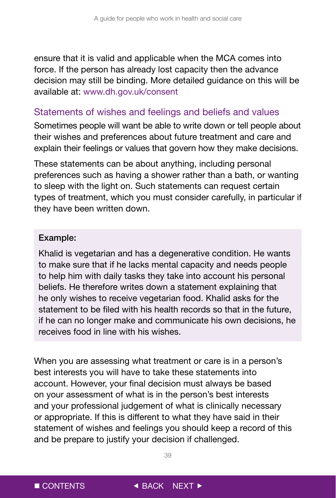<span id="page-39-0"></span>ensure that it is valid and applicable when the MCA comes into force. If the person has already lost capacity then the advance decision may still be binding. More detailed guidance on this will be available at: www.dh.gov.uk/consent

### Statements of wishes and feelings and beliefs and values

Sometimes people will want be able to write down or tell people about their wishes and preferences about future treatment and care and explain their feelings or values that govern how they make decisions.

These statements can be about anything, including personal preferences such as having a shower rather than a bath, or wanting to sleep with the light on. Such statements can request certain types of treatment, which you must consider carefully, in particular if they have been written down.

#### Example:

Khalid is vegetarian and has a degenerative condition. He wants to make sure that if he lacks mental capacity and needs people to help him with daily tasks they take into account his personal beliefs. He therefore writes down a statement explaining that he only wishes to receive vegetarian food. Khalid asks for the statement to be filed with his health records so that in the future, if he can no longer make and communicate his own decisions, he receives food in line with his wishes.

When you are assessing what treatment or care is in a person's best interests you will have to take these statements into account. However, your final decision must always be based on your assessment of what is in the person's best interests and your professional judgement of what is clinically necessary or appropriate. If this is different to what they have said in their statement of wishes and feelings you should keep a record of this and be prepare to justify your decision if challenged.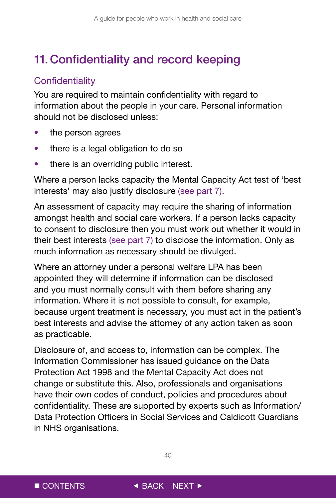# <span id="page-40-0"></span>11. Confidentiality and record keeping

## **Confidentiality**

You are required to maintain confidentiality with regard to information about the people in your care. Personal information should not be disclosed unless:

- the person agrees
- there is a legal obligation to do so
- there is an overriding public interest.

Where a person lacks capacity the Mental Capacity Act test of 'best interests' may also justify disclosure (see part 7).

An assessment of capacity may require the sharing of information amongst health and social care workers. If a person lacks capacity to consent to disclosure then you must work out whether it would in their best interests (see part 7) to disclose the information. Only as much information as necessary should be divulged.

Where an attorney under a personal welfare LPA has been appointed they will determine if information can be disclosed and you must normally consult with them before sharing any information. Where it is not possible to consult, for example, because urgent treatment is necessary, you must act in the patient's best interests and advise the attorney of any action taken as soon as practicable.

Disclosure of, and access to, information can be complex. The Information Commissioner has issued guidance on the Data Protection Act 1998 and the Mental Capacity Act does not change or substitute this. Also, professionals and organisations have their own codes of conduct, policies and procedures about confidentiality. These are supported by experts such as Information/ Data Protection Officers in Social Services and Caldicott Guardians in NHS organisations.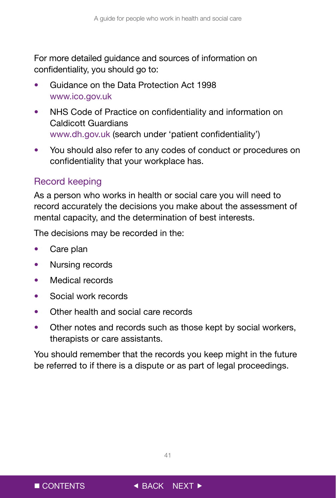<span id="page-41-0"></span>For more detailed guidance and sources of information on confidentiality, you should go to:

- Guidance on the Data Protection Act 1998 www.ico.gov.uk
- NHS Code of Practice on confidentiality and information on Caldicott Guardians www.dh.gov.uk (search under 'patient confidentiality')
- You should also refer to any codes of conduct or procedures on confidentiality that your workplace has.

### Record keeping

As a person who works in health or social care you will need to record accurately the decisions you make about the assessment of mental capacity, and the determination of best interests.

The decisions may be recorded in the:

- Care plan
- Nursing records
- Medical records
- Social work records
- Other health and social care records
- Other notes and records such as those kept by social workers, therapists or care assistants.

You should remember that the records you keep might in the future be referred to if there is a dispute or as part of legal proceedings.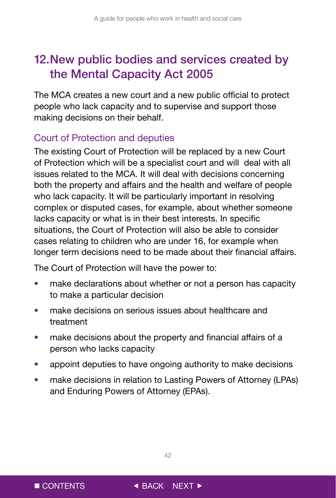# <span id="page-42-0"></span>12. New public bodies and services created by the Mental Capacity Act 2005

The MCA creates a new court and a new public official to protect people who lack capacity and to supervise and support those making decisions on their behalf.

## Court of Protection and deputies

The existing Court of Protection will be replaced by a new Court of Protection which will be a specialist court and will deal with all issues related to the MCA. It will deal with decisions concerning both the property and affairs and the health and welfare of people who lack capacity. It will be particularly important in resolving complex or disputed cases, for example, about whether someone lacks capacity or what is in their best interests. In specific situations, the Court of Protection will also be able to consider cases relating to children who are under 16, for example when longer term decisions need to be made about their financial affairs.

The Court of Protection will have the power to:

- make declarations about whether or not a person has capacity to make a particular decision
- make decisions on serious issues about healthcare and treatment
- make decisions about the property and financial affairs of a person who lacks capacity
- appoint deputies to have ongoing authority to make decisions
- make decisions in relation to Lasting Powers of Attorney (LPAs) and Enduring Powers of Attorney (EPAs).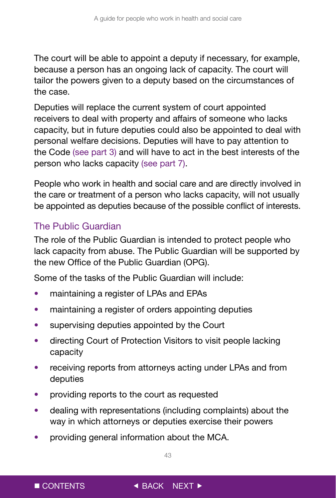<span id="page-43-0"></span>The court will be able to appoint a deputy if necessary, for example, because a person has an ongoing lack of capacity. The court will tailor the powers given to a deputy based on the circumstances of the case.

Deputies will replace the current system of court appointed receivers to deal with property and affairs of someone who lacks capacity, but in future deputies could also be appointed to deal with personal welfare decisions. Deputies will have to pay attention to the Code (see part 3) and will have to act in the best interests of the person who lacks capacity (see part 7).

People who work in health and social care and are directly involved in the care or treatment of a person who lacks capacity, will not usually be appointed as deputies because of the possible conflict of interests.

# The Public Guardian

The role of the Public Guardian is intended to protect people who lack capacity from abuse. The Public Guardian will be supported by the new Office of the Public Guardian (OPG).

Some of the tasks of the Public Guardian will include:

- maintaining a register of LPAs and EPAs
- maintaining a register of orders appointing deputies
- supervising deputies appointed by the Court
- directing Court of Protection Visitors to visit people lacking capacity
- receiving reports from attorneys acting under LPAs and from deputies
- providing reports to the court as requested
- dealing with representations (including complaints) about the way in which attorneys or deputies exercise their powers
- providing general information about the MCA.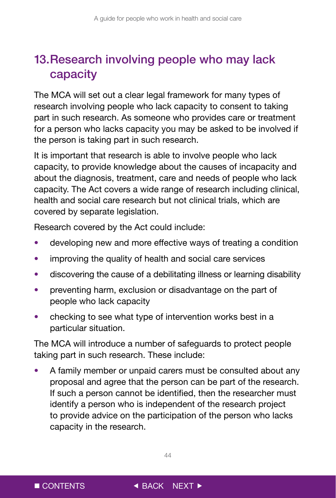# <span id="page-44-0"></span>13. Research involving people who may lack capacity

The MCA will set out a clear legal framework for many types of research involving people who lack capacity to consent to taking part in such research. As someone who provides care or treatment for a person who lacks capacity you may be asked to be involved if the person is taking part in such research.

It is important that research is able to involve people who lack capacity, to provide knowledge about the causes of incapacity and about the diagnosis, treatment, care and needs of people who lack capacity. The Act covers a wide range of research including clinical, health and social care research but not clinical trials, which are covered by separate legislation.

Research covered by the Act could include:

- developing new and more effective ways of treating a condition
- improving the quality of health and social care services
- discovering the cause of a debilitating illness or learning disability
- preventing harm, exclusion or disadvantage on the part of people who lack capacity
- checking to see what type of intervention works best in a particular situation.

The MCA will introduce a number of safeguards to protect people taking part in such research. These include:

• A family member or unpaid carers must be consulted about any proposal and agree that the person can be part of the research. If such a person cannot be identified, then the researcher must identify a person who is independent of the research project to provide advice on the participation of the person who lacks capacity in the research.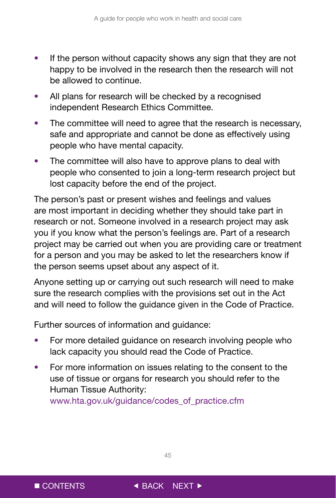- If the person without capacity shows any sign that they are not happy to be involved in the research then the research will not be allowed to continue.
- All plans for research will be checked by a recognised independent Research Ethics Committee.
- The committee will need to agree that the research is necessary, safe and appropriate and cannot be done as effectively using people who have mental capacity.
- The committee will also have to approve plans to deal with people who consented to join a long-term research project but lost capacity before the end of the project.

The person's past or present wishes and feelings and values are most important in deciding whether they should take part in research or not. Someone involved in a research project may ask you if you know what the person's feelings are. Part of a research project may be carried out when you are providing care or treatment for a person and you may be asked to let the researchers know if the person seems upset about any aspect of it.

Anyone setting up or carrying out such research will need to make sure the research complies with the provisions set out in the Act and will need to follow the guidance given in the Code of Practice.

Further sources of information and guidance:

- For more detailed guidance on research involving people who lack capacity you should read the Code of Practice.
- For more information on issues relating to the consent to the use of tissue or organs for research you should refer to the Human Tissue Authority:

www.hta.gov.uk/guidance/codes\_of\_practice.cfm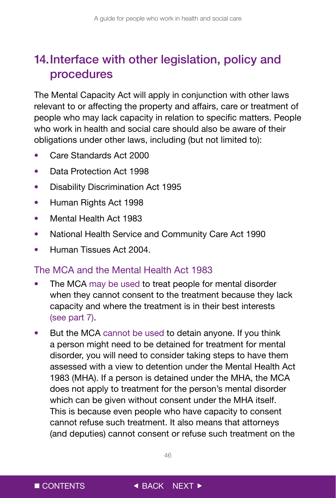# <span id="page-46-0"></span>14. Interface with other legislation, policy and procedures

The Mental Capacity Act will apply in conjunction with other laws relevant to or affecting the property and affairs, care or treatment of people who may lack capacity in relation to specific matters. People who work in health and social care should also be aware of their obligations under other laws, including (but not limited to):

- Care Standards Act 2000
- Data Protection Act 1998
- Disability Discrimination Act 1995
- Human Rights Act 1998
- Mental Health Act 1983
- National Health Service and Community Care Act 1990
- Human Tissues Act 2004.

### The MCA and the Mental Health Act 1983

- The MCA may be used to treat people for mental disorder when they cannot consent to the treatment because they lack capacity and where the treatment is in their best interests (see part 7).
- But the MCA cannot be used to detain anyone. If you think a person might need to be detained for treatment for mental disorder, you will need to consider taking steps to have them assessed with a view to detention under the Mental Health Act 1983 (MHA). If a person is detained under the MHA, the MCA does not apply to treatment for the person's mental disorder which can be given without consent under the MHA itself. This is because even people who have capacity to consent cannot refuse such treatment. It also means that attorneys (and deputies) cannot consent or refuse such treatment on the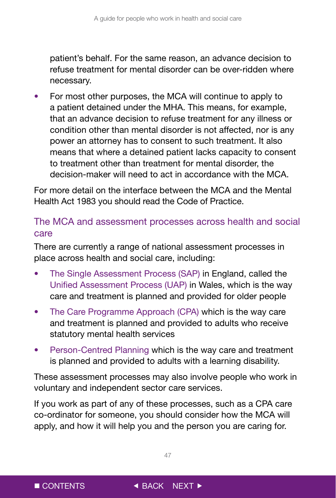<span id="page-47-0"></span>patient's behalf. For the same reason, an advance decision to refuse treatment for mental disorder can be over-ridden where necessary.

• For most other purposes, the MCA will continue to apply to a patient detained under the MHA. This means, for example, that an advance decision to refuse treatment for any illness or condition other than mental disorder is not affected, nor is any power an attorney has to consent to such treatment. It also means that where a detained patient lacks capacity to consent to treatment other than treatment for mental disorder, the decision-maker will need to act in accordance with the MCA.

For more detail on the interface between the MCA and the Mental Health Act 1983 you should read the Code of Practice.

### The MCA and assessment processes across health and social care

There are currently a range of national assessment processes in place across health and social care, including:

- The Single Assessment Process (SAP) in England, called the Unified Assessment Process (UAP) in Wales, which is the way care and treatment is planned and provided for older people
- The Care Programme Approach (CPA) which is the way care and treatment is planned and provided to adults who receive statutory mental health services
- Person-Centred Planning which is the way care and treatment is planned and provided to adults with a learning disability.

These assessment processes may also involve people who work in voluntary and independent sector care services.

If you work as part of any of these processes, such as a CPA care co-ordinator for someone, you should consider how the MCA will apply, and how it will help you and the person you are caring for.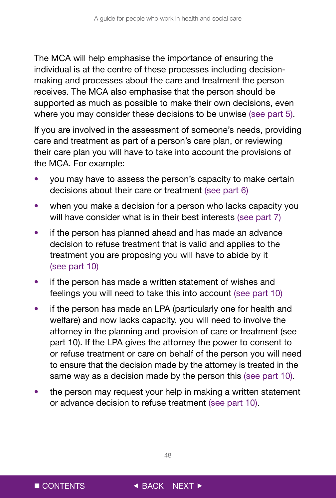The MCA will help emphasise the importance of ensuring the individual is at the centre of these processes including decisionmaking and processes about the care and treatment the person receives. The MCA also emphasise that the person should be supported as much as possible to make their own decisions, even where you may consider these decisions to be unwise (see part 5).

If you are involved in the assessment of someone's needs, providing care and treatment as part of a person's care plan, or reviewing their care plan you will have to take into account the provisions of the MCA. For example:

- you may have to assess the person's capacity to make certain decisions about their care or treatment (see part 6)
- when you make a decision for a person who lacks capacity you will have consider what is in their best interests (see part 7)
- if the person has planned ahead and has made an advance decision to refuse treatment that is valid and applies to the treatment you are proposing you will have to abide by it (see part 10)
- if the person has made a written statement of wishes and feelings you will need to take this into account (see part 10)
- if the person has made an LPA (particularly one for health and welfare) and now lacks capacity, you will need to involve the attorney in the planning and provision of care or treatment (see part 10). If the LPA gives the attorney the power to consent to or refuse treatment or care on behalf of the person you will need to ensure that the decision made by the attorney is treated in the same way as a decision made by the person this (see part 10).
- the person may request your help in making a written statement or advance decision to refuse treatment (see part 10).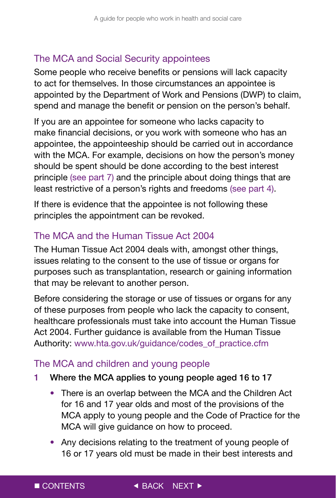### <span id="page-49-0"></span>The MCA and Social Security appointees

Some people who receive benefits or pensions will lack capacity to act for themselves. In those circumstances an appointee is appointed by the Department of Work and Pensions (DWP) to claim, spend and manage the benefit or pension on the person's behalf.

If you are an appointee for someone who lacks capacity to make financial decisions, or you work with someone who has an appointee, the appointeeship should be carried out in accordance with the MCA. For example, decisions on how the person's money should be spent should be done according to the best interest principle (see part 7) and the principle about doing things that are least restrictive of a person's rights and freedoms (see part 4).

If there is evidence that the appointee is not following these principles the appointment can be revoked.

## The MCA and the Human Tissue Act 2004

The Human Tissue Act 2004 deals with, amongst other things, issues relating to the consent to the use of tissue or organs for purposes such as transplantation, research or gaining information that may be relevant to another person.

Before considering the storage or use of tissues or organs for any of these purposes from people who lack the capacity to consent, healthcare professionals must take into account the Human Tissue Act 2004. Further guidance is available from the Human Tissue Authority: www.hta.gov.uk/guidance/codes\_of\_practice.cfm

### The MCA and children and young people

- 1 Where the MCA applies to young people aged 16 to 17
	- There is an overlap between the MCA and the Children Act for 16 and 17 year olds and most of the provisions of the MCA apply to young people and the Code of Practice for the MCA will give guidance on how to proceed.
	- 16 or 17 years old must be made in their best interests and • Any decisions relating to the treatment of young people of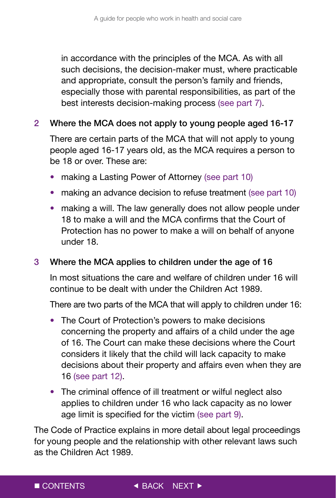in accordance with the principles of the MCA. As with all such decisions, the decision-maker must, where practicable and appropriate, consult the person's family and friends, especially those with parental responsibilities, as part of the best interests decision-making process (see part 7).

### 2 Where the MCA does not apply to young people aged 16-17

There are certain parts of the MCA that will not apply to young people aged 16-17 years old, as the MCA requires a person to be 18 or over. These are:

- making a Lasting Power of Attorney (see part 10)
- making an advance decision to refuse treatment (see part 10)
- making a will. The law generally does not allow people under 18 to make a will and the MCA confirms that the Court of Protection has no power to make a will on behalf of anyone under 18.

### 3 Where the MCA applies to children under the age of 16

In most situations the care and welfare of children under 16 will continue to be dealt with under the Children Act 1989.

There are two parts of the MCA that will apply to children under 16:

- The Court of Protection's powers to make decisions concerning the property and affairs of a child under the age of 16. The Court can make these decisions where the Court considers it likely that the child will lack capacity to make decisions about their property and affairs even when they are 16 (see part 12).
- The criminal offence of ill treatment or wilful neglect also applies to children under 16 who lack capacity as no lower age limit is specified for the victim (see part 9).

The Code of Practice explains in more detail about legal proceedings for young people and the relationship with other relevant laws such as the Children Act 1989.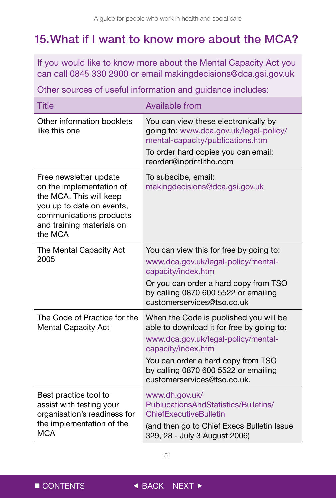# <span id="page-51-0"></span>15. What if I want to know more about the MCA?

If you would like to know more about the Mental Capacity Act you can call 0845 330 2900 or email makingdecisions@dca.gsi.gov.uk

Other sources of useful information and guidance includes:

| <b>Title</b>                                                                                                                                                                  | <b>Available from</b>                                                                                                                                                                                                                                         |
|-------------------------------------------------------------------------------------------------------------------------------------------------------------------------------|---------------------------------------------------------------------------------------------------------------------------------------------------------------------------------------------------------------------------------------------------------------|
| Other information booklets<br>like this one                                                                                                                                   | You can view these electronically by<br>going to: www.dca.gov.uk/legal-policy/<br>mental-capacity/publications.htm<br>To order hard copies you can email:<br>reorder@inprintlitho.com                                                                         |
| Free newsletter update<br>on the implementation of<br>the MCA. This will keep<br>you up to date on events,<br>communications products<br>and training materials on<br>the MCA | To subscibe, email:<br>makingdecisions@dca.gsi.gov.uk                                                                                                                                                                                                         |
| The Mental Capacity Act<br>2005                                                                                                                                               | You can view this for free by going to:<br>www.dca.gov.uk/legal-policy/mental-<br>capacity/index.htm<br>Or you can order a hard copy from TSO<br>by calling 0870 600 5522 or emailing<br>customerservices@tso.co.uk                                           |
| The Code of Practice for the<br><b>Mental Capacity Act</b>                                                                                                                    | When the Code is published you will be<br>able to download it for free by going to:<br>www.dca.gov.uk/legal-policy/mental-<br>capacity/index.htm<br>You can order a hard copy from TSO<br>by calling 0870 600 5522 or emailing<br>customerservices@tso.co.uk. |
| Best practice tool to<br>assist with testing your<br>organisation's readiness for<br>the implementation of the<br><b>MCA</b>                                                  | www.dh.gov.uk/<br>PublucationsAndStatistics/Bulletins/<br><b>ChiefExecutiveBulletin</b><br>(and then go to Chief Execs Bulletin Issue<br>329, 28 - July 3 August 2006)                                                                                        |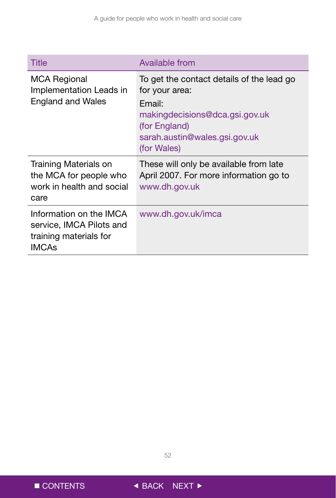| Title                                                                                         | Available from                                                                                                                                                           |
|-----------------------------------------------------------------------------------------------|--------------------------------------------------------------------------------------------------------------------------------------------------------------------------|
| <b>MCA Regional</b><br>Implementation Leads in<br><b>England and Wales</b>                    | To get the contact details of the lead go<br>for your area:<br>Email:<br>makingdecisions@dca.gsi.gov.uk<br>(for England)<br>sarah.austin@wales.gsi.gov.uk<br>(for Wales) |
| Training Materials on<br>the MCA for people who<br>work in health and social<br>care          | These will only be available from late<br>April 2007. For more information go to<br>www.dh.gov.uk                                                                        |
| Information on the IMCA<br>service, IMCA Pilots and<br>training materials for<br><b>IMCAs</b> | www.dh.gov.uk/imca                                                                                                                                                       |

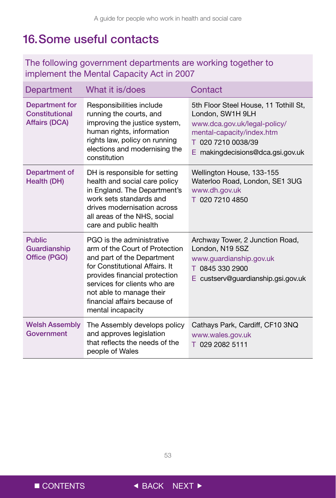# <span id="page-53-0"></span>16. Some useful contacts

### The following government departments are working together to implement the Mental Capacity Act in 2007

| Department                                               | What it is/does                                                                                                                                                                                                                                                               | Contact                                                                                                                                                                          |
|----------------------------------------------------------|-------------------------------------------------------------------------------------------------------------------------------------------------------------------------------------------------------------------------------------------------------------------------------|----------------------------------------------------------------------------------------------------------------------------------------------------------------------------------|
| Department for<br>Constitutional<br><b>Affairs (DCA)</b> | Responsibilities include<br>running the courts, and<br>improving the justice system,<br>human rights, information<br>rights law, policy on running<br>elections and modernising the<br>constitution                                                                           | 5th Floor Steel House, 11 Tothill St,<br>London, SW1H 9LH<br>www.dca.gov.uk/legal-policy/<br>mental-capacity/index.htm<br>T 020 7210 0038/39<br>E makingdecisions@dca.gsi.gov.uk |
| Department of<br>Health (DH)                             | DH is responsible for setting<br>health and social care policy<br>in England. The Department's<br>work sets standards and<br>drives modernisation across<br>all areas of the NHS, social<br>care and public health                                                            | Wellington House, 133-155<br>Waterloo Road, London, SE1 3UG<br>www.dh.gov.uk<br>T 020 7210 4850                                                                                  |
| <b>Public</b><br>Guardianship<br>Office (PGO)            | PGO is the administrative<br>arm of the Court of Protection<br>and part of the Department<br>for Constitutional Affairs. It<br>provides financial protection<br>services for clients who are<br>not able to manage their<br>financial affairs because of<br>mental incapacity | Archway Tower, 2 Junction Road,<br>London, N19 5SZ<br>www.quardianship.gov.uk<br>T 0845 330 2900<br>E custserv@guardianship.gsi.gov.uk                                           |
| <b>Welsh Assembly</b><br>Government                      | The Assembly develops policy<br>and approves legislation<br>that reflects the needs of the<br>people of Wales                                                                                                                                                                 | Cathays Park, Cardiff, CF10 3NQ<br>www.wales.gov.uk<br>T 029 2082 5111                                                                                                           |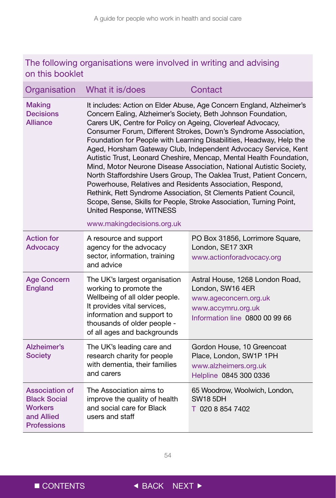### The following organisations were involved in writing and advising on this booklet

| Organisation                                                                                | What it is/does                                                                                                                                                                                                                                      | Contact                                                                                                                                                                                                                                                                                                                                                                                                                                                                                                                                                                                                                                          |
|---------------------------------------------------------------------------------------------|------------------------------------------------------------------------------------------------------------------------------------------------------------------------------------------------------------------------------------------------------|--------------------------------------------------------------------------------------------------------------------------------------------------------------------------------------------------------------------------------------------------------------------------------------------------------------------------------------------------------------------------------------------------------------------------------------------------------------------------------------------------------------------------------------------------------------------------------------------------------------------------------------------------|
| <b>Making</b><br><b>Decisions</b><br><b>Alliance</b>                                        | Concern Ealing, Alzheimer's Society, Beth Johnson Foundation,<br>Carers UK, Centre for Policy on Ageing, Cloverleaf Advocacy,<br>Powerhouse, Relatives and Residents Association, Respond,<br>United Response, WITNESS<br>www.makingdecisions.org.uk | It includes: Action on Elder Abuse, Age Concern England, Alzheimer's<br>Consumer Forum, Different Strokes, Down's Syndrome Association,<br>Foundation for People with Learning Disabilities, Headway, Help the<br>Aged, Horsham Gateway Club, Independent Advocacy Service, Kent<br>Autistic Trust, Leonard Cheshire, Mencap, Mental Health Foundation,<br>Mind, Motor Neurone Disease Association, National Autistic Society,<br>North Staffordshire Users Group, The Oaklea Trust, Patient Concern,<br>Rethink, Rett Syndrome Association, St Clements Patient Council,<br>Scope, Sense, Skills for People, Stroke Association, Turning Point, |
| <b>Action for</b><br><b>Advocacy</b>                                                        | A resource and support<br>agency for the advocacy<br>sector, information, training<br>and advice                                                                                                                                                     | PO Box 31856, Lorrimore Square,<br>London, SE17 3XR<br>www.actionforadvocacy.org                                                                                                                                                                                                                                                                                                                                                                                                                                                                                                                                                                 |
| <b>Age Concern</b><br><b>England</b>                                                        | The UK's largest organisation<br>working to promote the<br>Wellbeing of all older people.<br>It provides vital services,<br>information and support to<br>thousands of older people -<br>of all ages and backgrounds                                 | Astral House, 1268 London Road,<br>London, SW16 4ER<br>www.ageconcern.org.uk<br>www.accymru.org.uk<br>Information line 0800 00 99 66                                                                                                                                                                                                                                                                                                                                                                                                                                                                                                             |
| Alzheimer's<br><b>Society</b>                                                               | The UK's leading care and<br>research charity for people<br>with dementia, their families<br>and carers                                                                                                                                              | Gordon House, 10 Greencoat<br>Place, London, SW1P 1PH<br>www.alzheimers.org.uk<br>Helpline 0845 300 0336                                                                                                                                                                                                                                                                                                                                                                                                                                                                                                                                         |
| Association of<br><b>Black Social</b><br><b>Workers</b><br>and Allied<br><b>Professions</b> | The Association aims to<br>improve the quality of health<br>and social care for Black<br>users and staff                                                                                                                                             | 65 Woodrow, Woolwich, London,<br><b>SW18 5DH</b><br>T 020 8 854 7402                                                                                                                                                                                                                                                                                                                                                                                                                                                                                                                                                                             |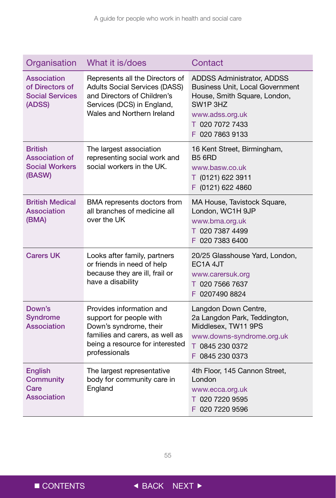| Organisation                                                               | What it is/does                                                                                                                                                      | Contact                                                                                                                                                                                |
|----------------------------------------------------------------------------|----------------------------------------------------------------------------------------------------------------------------------------------------------------------|----------------------------------------------------------------------------------------------------------------------------------------------------------------------------------------|
| Association<br>of Directors of<br><b>Social Services</b><br>(ADSS)         | Represents all the Directors of<br><b>Adults Social Services (DASS)</b><br>and Directors of Children's<br>Services (DCS) in England,<br>Wales and Northern Ireland   | ADDSS Administrator, ADDSS<br><b>Business Unit, Local Government</b><br>House, Smith Square, London,<br>SW <sub>1</sub> P 3HZ<br>www.adss.org.uk<br>T 020 7072 7433<br>F 020 7863 9133 |
| <b>British</b><br><b>Association of</b><br><b>Social Workers</b><br>(BASW) | The largest association<br>representing social work and<br>social workers in the UK.                                                                                 | 16 Kent Street, Birmingham,<br><b>B5 6RD</b><br>www.basw.co.uk<br>T (0121) 622 3911<br>F (0121) 622 4860                                                                               |
| <b>British Medical</b><br>Association<br>(BMA)                             | BMA represents doctors from<br>all branches of medicine all<br>over the UK                                                                                           | MA House, Tavistock Square,<br>London, WC1H 9JP<br>www.bma.org.uk<br>T 020 7387 4499<br>F 020 7383 6400                                                                                |
| <b>Carers UK</b>                                                           | Looks after family, partners<br>or friends in need of help<br>because they are ill, frail or<br>have a disability                                                    | 20/25 Glasshouse Yard, London,<br>EC <sub>1</sub> A 4JT<br>www.carersuk.org<br>T 020 7566 7637<br>F 0207490 8824                                                                       |
| Down's<br><b>Syndrome</b><br>Association                                   | Provides information and<br>support for people with<br>Down's syndrome, their<br>families and carers, as well as<br>being a resource for interested<br>professionals | Langdon Down Centre,<br>2a Langdon Park, Teddington,<br>Middlesex, TW11 9PS<br>www.downs-syndrome.org.uk<br>T 0845 230 0372<br>F 0845 230 0373                                         |
| <b>English</b><br><b>Community</b><br>Care<br>Association                  | The largest representative<br>body for community care in<br>England                                                                                                  | 4th Floor, 145 Cannon Street,<br>London<br>www.ecca.org.uk<br>T 020 7220 9595<br>F 020 7220 9596                                                                                       |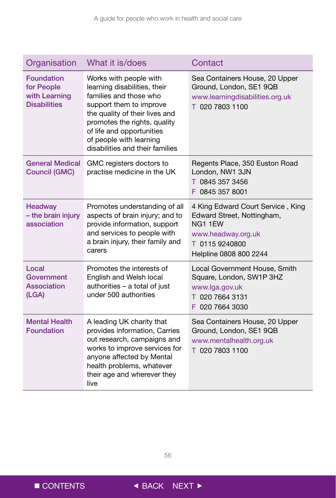| Organisation                                                            | What it is/does                                                                                                                                                                                                                                                          | Contact                                                                                                                                      |
|-------------------------------------------------------------------------|--------------------------------------------------------------------------------------------------------------------------------------------------------------------------------------------------------------------------------------------------------------------------|----------------------------------------------------------------------------------------------------------------------------------------------|
| <b>Foundation</b><br>for People<br>with Learning<br><b>Disabilities</b> | Works with people with<br>learning disabilities, their<br>families and those who<br>support them to improve<br>the quality of their lives and<br>promotes the rights, quality<br>of life and opportunities<br>of people with learning<br>disabilities and their families | Sea Containers House, 20 Upper<br>Ground, London, SE1 9QB<br>www.learningdisabilities.org.uk<br>T 020 7803 1100                              |
| General Medical<br><b>Council (GMC)</b>                                 | GMC registers doctors to<br>practise medicine in the UK                                                                                                                                                                                                                  | Regents Place, 350 Euston Road<br>London, NW1 3JN<br>T 0845 357 3456<br>F 0845 357 8001                                                      |
| <b>Headway</b><br>- the brain injury<br>association                     | Promotes understanding of all<br>aspects of brain injury; and to<br>provide information, support<br>and services to people with<br>a brain injury, their family and<br>carers                                                                                            | 4 King Edward Court Service, King<br>Edward Street, Nottingham,<br>NG1 1EW<br>www.headway.org.uk<br>T 0115 9240800<br>Helpline 0808 800 2244 |
| Local<br>Government<br>Association<br>(LGA)                             | Promotes the interests of<br>English and Welsh local<br>authorities - a total of just<br>under 500 authorities                                                                                                                                                           | Local Government House, Smith<br>Square, London, SW1P 3HZ<br>www.lga.gov.uk<br>T 020 7664 3131<br>F 020 7664 3030                            |
| <b>Mental Health</b><br><b>Foundation</b>                               | A leading UK charity that<br>provides information, Carries<br>out research, campaigns and<br>works to improve services for<br>anyone affected by Mental<br>health problems, whatever<br>their age and wherever they<br>live                                              | Sea Containers House, 20 Upper<br>Ground, London, SE1 9QB<br>www.mentalhealth.org.uk<br>T 020 7803 1100                                      |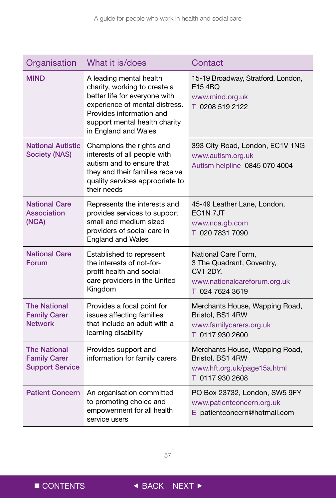| Organisation                                                         | What it is/does                                                                                                                                                                                                 | Contact                                                                                                         |
|----------------------------------------------------------------------|-----------------------------------------------------------------------------------------------------------------------------------------------------------------------------------------------------------------|-----------------------------------------------------------------------------------------------------------------|
| <b>MIND</b>                                                          | A leading mental health<br>charity, working to create a<br>better life for everyone with<br>experience of mental distress.<br>Provides information and<br>support mental health charity<br>in England and Wales | 15-19 Broadway, Stratford, London,<br>E154BQ<br>www.mind.org.uk<br>T 0208 519 2122                              |
| <b>National Autistic</b><br><b>Society (NAS)</b>                     | Champions the rights and<br>interests of all people with<br>autism and to ensure that<br>they and their families receive<br>quality services appropriate to<br>their needs                                      | 393 City Road, London, EC1V 1NG<br>www.autism.org.uk<br>Autism helpline 0845 070 4004                           |
| <b>National Care</b><br><b>Association</b><br>(NCA)                  | Represents the interests and<br>provides services to support<br>small and medium sized<br>providers of social care in<br><b>England and Wales</b>                                                               | 45-49 Leather Lane, London,<br>EC <sub>1</sub> N <sub>7J</sub> T<br>www.nca.gb.com<br>T 020 7831 7090           |
| <b>National Care</b><br>Forum                                        | Established to represent<br>the interests of not-for-<br>profit health and social<br>care providers in the United<br>Kingdom                                                                                    | National Care Form,<br>3 The Quadrant, Coventry,<br>CV1 2DY.<br>www.nationalcareforum.org.uk<br>T 024 7624 3619 |
| <b>The National</b><br><b>Family Carer</b><br><b>Network</b>         | Provides a focal point for<br>issues affecting families<br>that include an adult with a<br>learning disability                                                                                                  | Merchants House, Wapping Road,<br>Bristol, BS1 4RW<br>www.familycarers.org.uk<br>T 0117 930 2600                |
| <b>The National</b><br><b>Family Carer</b><br><b>Support Service</b> | Provides support and<br>information for family carers                                                                                                                                                           | Merchants House, Wapping Road,<br>Bristol, BS1 4RW<br>www.hft.org.uk/page15a.html<br>T 0117 930 2608            |
| <b>Patient Concern</b>                                               | An organisation committed<br>to promoting choice and<br>empowerment for all health<br>service users                                                                                                             | PO Box 23732, London, SW5 9FY<br>www.patientconcern.org.uk<br>E patientconcern@hotmail.com                      |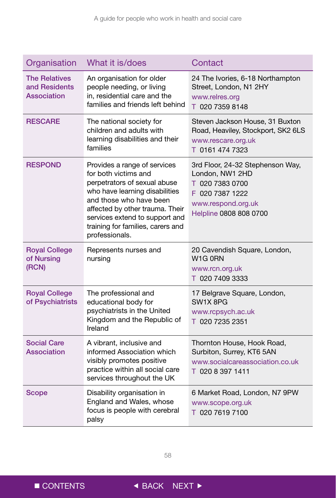| Organisation                                         | What it is/does                                                                                                                                                                                                                                                               | Contact                                                                                                                                   |
|------------------------------------------------------|-------------------------------------------------------------------------------------------------------------------------------------------------------------------------------------------------------------------------------------------------------------------------------|-------------------------------------------------------------------------------------------------------------------------------------------|
| <b>The Relatives</b><br>and Residents<br>Association | An organisation for older<br>people needing, or living<br>in, residential care and the<br>families and friends left behind                                                                                                                                                    | 24 The Ivories, 6-18 Northampton<br>Street, London, N1 2HY<br>www.relres.org<br>T 020 7359 8148                                           |
| <b>RESCARE</b>                                       | The national society for<br>children and adults with<br>learning disabilities and their<br>families                                                                                                                                                                           | Steven Jackson House, 31 Buxton<br>Road, Heaviley, Stockport, SK2 6LS<br>www.rescare.org.uk<br>T 0161 474 7323                            |
| <b>RESPOND</b>                                       | Provides a range of services<br>for both victims and<br>perpetrators of sexual abuse<br>who have learning disabilities<br>and those who have been<br>affected by other trauma. Their<br>services extend to support and<br>training for families, carers and<br>professionals. | 3rd Floor, 24-32 Stephenson Way,<br>London, NW1 2HD<br>T 020 7383 0700<br>F 020 7387 1222<br>www.respond.org.uk<br>Helpline 0808 808 0700 |
| <b>Royal College</b><br>of Nursing<br>(RCN)          | Represents nurses and<br>nursing                                                                                                                                                                                                                                              | 20 Cavendish Square, London,<br>W <sub>1G</sub> ORN<br>www.rcn.org.uk<br>T 020 7409 3333                                                  |
| <b>Royal College</b><br>of Psychiatrists             | The professional and<br>educational body for<br>psychiatrists in the United<br>Kingdom and the Republic of<br>Ireland                                                                                                                                                         | 17 Belgrave Square, London,<br>SW1X 8PG<br>www.rcpsych.ac.uk<br>T 020 7235 2351                                                           |
| <b>Social Care</b><br><b>Association</b>             | A vibrant, inclusive and<br>informed Association which<br>visibly promotes positive<br>practice within all social care<br>services throughout the UK                                                                                                                          | Thornton House, Hook Road,<br>Surbiton, Surrey, KT6 5AN<br>www.socialcareassociation.co.uk<br>T 020 8 397 1411                            |
| <b>Scope</b>                                         | Disability organisation in<br>England and Wales, whose<br>focus is people with cerebral<br>palsy                                                                                                                                                                              | 6 Market Road, London, N7 9PW<br>www.scope.org.uk<br>T 020 7619 7100                                                                      |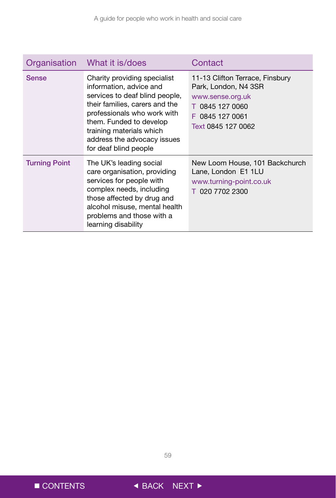| Organisation         | What it is/does                                                                                                                                                                                                                                                           | Contact                                                                                                                                 |
|----------------------|---------------------------------------------------------------------------------------------------------------------------------------------------------------------------------------------------------------------------------------------------------------------------|-----------------------------------------------------------------------------------------------------------------------------------------|
| <b>Sense</b>         | Charity providing specialist<br>information, advice and<br>services to deaf blind people,<br>their families, carers and the<br>professionals who work with<br>them. Funded to develop<br>training materials which<br>address the advocacy issues<br>for deaf blind people | 11-13 Clifton Terrace, Finsbury<br>Park, London, N4 3SR<br>www.sense.org.uk<br>T 0845 127 0060<br>F 0845 127 0061<br>Text 0845 127 0062 |
| <b>Turning Point</b> | The UK's leading social<br>care organisation, providing<br>services for people with<br>complex needs, including<br>those affected by drug and<br>alcohol misuse, mental health<br>problems and those with a<br>learning disability                                        | New Loom House, 101 Backchurch<br>Lane, London E1 1LU<br>www.turning-point.co.uk<br>T 020 7702 2300                                     |